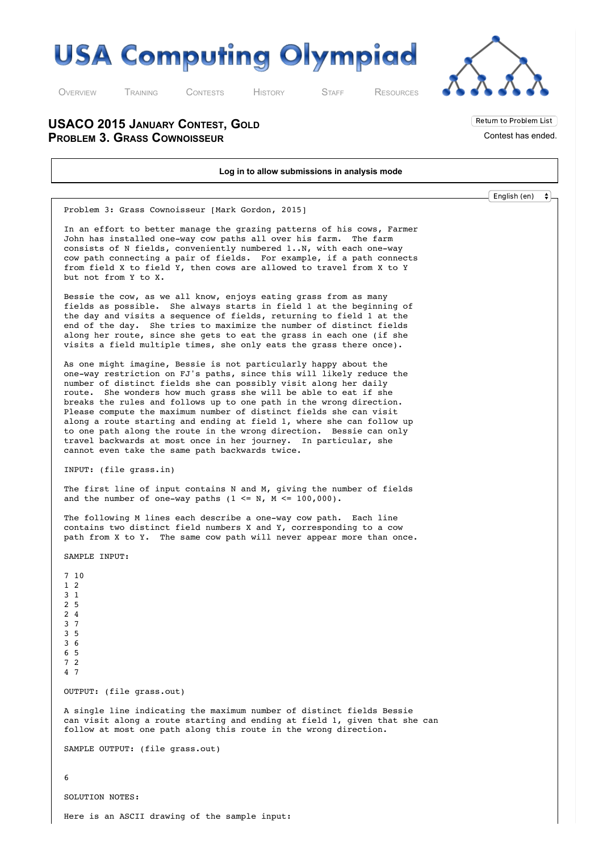

O[VERVIEW](http://usaco.org/index.php) T[RAINING](http://usaco.org/index.php?page=training) C[ONTESTS](http://usaco.org/index.php?page=contests) H[ISTORY](http://usaco.org/index.php?page=history) S[TAFF](http://usaco.org/index.php?page=staff) R[ESOURCES](http://usaco.org/index.php)



Return to Problem List Contest has ended.

**USACO 2015 JANUARY CONTEST, GOLD PROBLEM 3. GRASS COWNOISSEUR**

**Log in to allow submissions in analysis mode** English (en) $\bullet$ Problem 3: Grass Cownoisseur [Mark Gordon, 2015] In an effort to better manage the grazing patterns of his cows, Farmer John has installed one-way cow paths all over his farm. The farm consists of N fields, conveniently numbered 1..N, with each one-way cow path connecting a pair of fields. For example, if a path connects from field X to field Y, then cows are allowed to travel from X to Y but not from Y to X. Bessie the cow, as we all know, enjoys eating grass from as many fields as possible. She always starts in field 1 at the beginning of the day and visits a sequence of fields, returning to field 1 at the end of the day. She tries to maximize the number of distinct fields along her route, since she gets to eat the grass in each one (if she visits a field multiple times, she only eats the grass there once). As one might imagine, Bessie is not particularly happy about the one-way restriction on FJ's paths, since this will likely reduce the number of distinct fields she can possibly visit along her daily route. She wonders how much grass she will be able to eat if she breaks the rules and follows up to one path in the wrong direction. Please compute the maximum number of distinct fields she can visit along a route starting and ending at field 1, where she can follow up to one path along the route in the wrong direction. Bessie can only travel backwards at most once in her journey. In particular, she cannot even take the same path backwards twice. INPUT: (file grass.in) The first line of input contains N and M, giving the number of fields and the number of one-way paths  $(1 \le N, M \le 100,000)$ . The following M lines each describe a one-way cow path. Each line contains two distinct field numbers X and Y, corresponding to a cow path from X to Y. The same cow path will never appear more than once. SAMPLE INPUT: 7 10 1 2 3 1 2 5 2 4 3 7 3 5 3 6 6 5 7 2 4 7 OUTPUT: (file grass.out) A single line indicating the maximum number of distinct fields Bessie can visit along a route starting and ending at field 1, given that she can follow at most one path along this route in the wrong direction. SAMPLE OUTPUT: (file grass.out) 6 SOLUTION NOTES: Here is an ASCII drawing of the sample input: